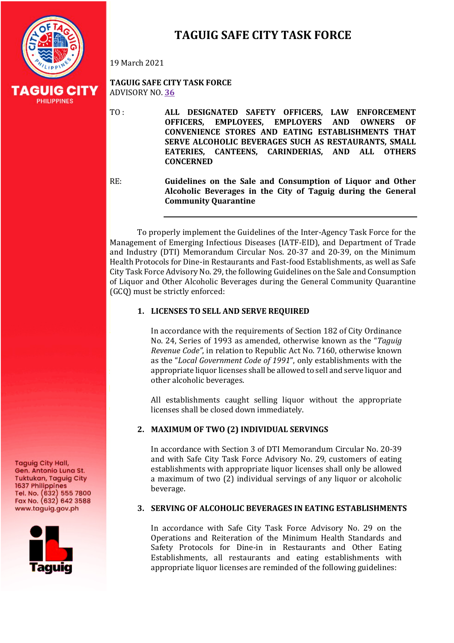

# **TAGUIG SAFE CITY TASK FORCE**

19 March 2021

**TAGUIG SAFE CITY TASK FORCE** ADVISORY NO. **36**

TO: **ALL DESIGNATED SAFETY OFFICERS, LAW ENFORCEMENT OFFICERS, EMPLOYEES, EMPLOYERS AND OWNERS OF CONVENIENCE STORES AND EATING ESTABLISHMENTS THAT SERVE ALCOHOLIC BEVERAGES SUCH AS RESTAURANTS, SMALL** EATERIES, CANTEENS, CARINDERIAS, AND ALL OTHERS **CONCERNED**

RE: **Guidelines on the Sale and Consumption of Liquor and Other** Alcoholic Beverages in the City of Taguig during the General **Community Quarantine**

To properly implement the Guidelines of the Inter-Agency Task Force for the Management of Emerging Infectious Diseases (IATF-EID), and Department of Trade and Industry (DTI) Memorandum Circular Nos. 20-37 and 20-39, on the Minimum Health Protocols for Dine-in Restaurants and Fast-food Establishments, as well as Safe City Task Force Advisory No. 29, the following Guidelines on the Sale and Consumption of Liquor and Other Alcoholic Beverages during the General Community Quarantine  $(GCO)$  must be strictly enforced:

### 1. LICENSES TO SELL AND SERVE REQUIRED

In accordance with the requirements of Section 182 of City Ordinance No. 24, Series of 1993 as amended, otherwise known as the "*Taguig Revenue Code"*, in relation to Republic Act No. 7160, otherwise known as the "Local Government Code of 1991", only establishments with the appropriate liquor licenses shall be allowed to sell and serve liquor and other alcoholic beverages.

All establishments caught selling liquor without the appropriate licenses shall be closed down immediately.

## 2. **MAXIMUM OF TWO (2) INDIVIDUAL SERVINGS**

In accordance with Section 3 of DTI Memorandum Circular No. 20-39 and with Safe City Task Force Advisory No. 29, customers of eating establishments with appropriate liquor licenses shall only be allowed a maximum of two (2) individual servings of any liquor or alcoholic beverage.

## **3. SERVING OF ALCOHOLIC BEVERAGES IN EATING ESTABLISHMENTS**

In accordance with Safe City Task Force Advisory No. 29 on the Operations and Reiteration of the Minimum Health Standards and Safety Protocols for Dine-in in Restaurants and Other Eating Establishments, all restaurants and eating establishments with appropriate liquor licenses are reminded of the following guidelines:

**Taguig City Hall,** Gen. Antonio Luna St. **Tuktukan, Taguig City** 1637 Philippines Tel. No. (632) 555 7800<br>Fax No. (632) 642 3588 www.taguig.gov.ph

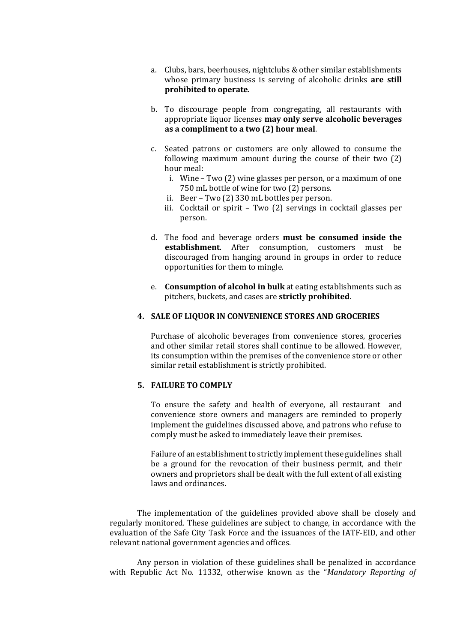- a. Clubs, bars, beerhouses, nightclubs & other similar establishments whose primary business is serving of alcoholic drinks are still **prohibited to operate.**
- b. To discourage people from congregating, all restaurants with appropriate liquor licenses may only serve alcoholic beverages as a compliment to a two (2) hour meal.
- c. Seated patrons or customers are only allowed to consume the following maximum amount during the course of their two  $(2)$ hour meal:
	- i. Wine  $-$  Two  $(2)$  wine glasses per person, or a maximum of one 750 mL bottle of wine for two (2) persons.
	- ii. Beer Two (2) 330 mL bottles per person.
	- iii. Cocktail or spirit  $-$  Two  $(2)$  servings in cocktail glasses per person.
- d. The food and beverage orders **must be consumed inside the establishment**. After consumption, customers must be discouraged from hanging around in groups in order to reduce opportunities for them to mingle.
- e. **Consumption of alcohol in bulk** at eating establishments such as pitchers, buckets, and cases are **strictly prohibited**.

#### **4. SALE OF LIQUOR IN CONVENIENCE STORES AND GROCERIES**

Purchase of alcoholic beverages from convenience stores, groceries and other similar retail stores shall continue to be allowed. However, its consumption within the premises of the convenience store or other similar retail establishment is strictly prohibited.

#### **5. FAILURE TO COMPLY**

To ensure the safety and health of everyone, all restaurant and convenience store owners and managers are reminded to properly implement the guidelines discussed above, and patrons who refuse to comply must be asked to immediately leave their premises.

Failure of an establishment to strictly implement these guidelines shall be a ground for the revocation of their business permit, and their owners and proprietors shall be dealt with the full extent of all existing laws and ordinances.

The implementation of the guidelines provided above shall be closely and regularly monitored. These guidelines are subject to change, in accordance with the evaluation of the Safe City Task Force and the issuances of the IATF-EID, and other relevant national government agencies and offices.

Any person in violation of these guidelines shall be penalized in accordance with Republic Act No. 11332, otherwise known as the "*Mandatory Reporting of*